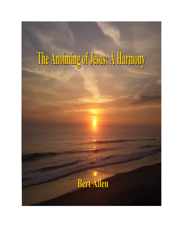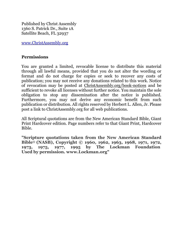Published by Christ Assembly 1360 S. Patrick Dr., Suite 1A Satellite Beach, FL 32937

[www.ChristAssembly.org](http://www.christassembly.org/)

#### **Permissions**

You are granted a limited, revocable license to distribute this material through all lawful means, provided that you do not alter the wording or format and do not charge for copies or seek to recover any costs of publication; you may not receive any donations related to this work. Notice of revocation may be posted at [ChristAssembly.org/book-notices](http://christassembly.org/the-pastoral-heresy/) and be sufficient to revoke all licenses without further notice. You maintain the sole obligation to stop any dissemination after the notice is published. Furthermore, you may not derive any economic benefit from such publication or distribution. All rights reserved by Herbert L. Allen, Jr. Please post a link to [ChristAssembly.org](http://christassembly.org/) for all web publications.

All Scriptural quotations are from the New American Standard Bible, Giant Print Hardcover edition. Page numbers refer to that Giant Print, Hardcover Bible.

**"Scripture quotations taken from the New American Standard Bible**® **(NASB), Copyright © 1960, 1962, 1963, 1968, 1971, 1972, 1973, 1975, 1977, 1995 by The Lockman Foundation Used by permission. www.Lockman.org"**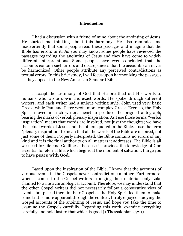#### **Introduction**

I had a discussion with a friend of mine about the anointing of Jesus. He started me thinking about this harmony. He also reminded me inadvertently that some people read these passages and imagine that the Bible has errors in it. As you may know, some people have reviewed the passages regarding the anointing of Jesus and they have come to widely different interpretations. Some people have even concluded that the accounts contain such errors and discrepancies that the accounts can never be harmonized. Other people attribute any perceived contradictions as textual errors. In this brief study, I will focus upon harmonizing the passages as they appear in the New American Standard Bible.

I accept the testimony of God that He breathed out His words to humans who wrote down His exact words. He spoke through different writers, and each writer had a unique writing style. John used very basic Greek, while Paul and Peter wrote more complex Greek. Even so, the Holy Spirit moved in each writer's heart to produce the original autograph, bearing the marks of verbal, plenary inspiration. As I use those terms, "verbal inspiration" means that words are inspired, not just the thoughts; we have the actual words of Jesus and the others quoted in the Bible. I use the term "plenary inspiration" to mean that all the words of the Bible are inspired, not just some of them. Properly interpreted, the Bible contains no errors of any kind and it is the final authority on all matters it addresses. The Bible is all we need for life and Godliness, because it provides the knowledge of God essential for eternal life, which begins at the moment of salvation. I urge you to have **[peace with God](http://christassembly.org/peace-with-god)**.

Based upon the inspiration of the Bible, I know that the accounts of various events in the Gospels never contradict one another. Furthermore, when it comes to the Gospel writers arranging their material, only Luke claimed to write a chronological account. Therefore, we may understand that the other Gospel writers did not necessarily follow a consecutive view of events, but placed them in their Gospel as the Holy Spirit led them to make some truths more apparent through the context. I truly enjoyed studying the Gospel accounts of the anointing of Jesus, and hope you take the time to examine the Gospels carefully. Regarding this work, examine everything carefully and hold fast to that which is good (1 Thessalonians 5:21).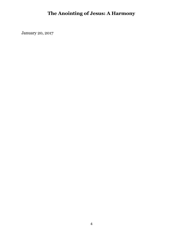January 20, 2017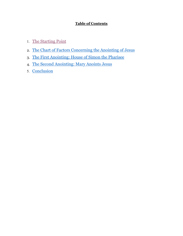#### **Table of Contents**

- 1. [The Starting Point](#page-5-0)
- 2. The Chart of Factors [Concerning the Anointing of Jesus](#page-6-0)
- 3. [The First Anointing: House of Simon the Pharisee](#page-15-0)
- 4. [The Second Anointing: Mary Anoints Jesus](#page-17-0)
- 5. [Conclusion](#page-24-0)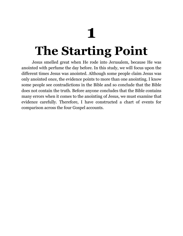# **1**

# <span id="page-5-0"></span>**The Starting Point**

Jesus smelled great when He rode into Jerusalem, because He was anointed with perfume the day before. In this study, we will focus upon the different times Jesus was anointed. Although some people claim Jesus was only anointed once, the evidence points to more than one anointing. I know some people see contradictions in the Bible and so conclude that the Bible does not contain the truth. Before anyone concludes that the Bible contains many errors when it comes to the anointing of Jesus, we must examine that evidence carefully. Therefore, I have constructed a chart of events for comparison across the four Gospel accounts.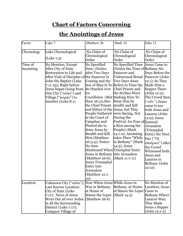# **Chart of Factors Concerning**

# **the Anointings of Jesus**

<span id="page-6-0"></span>

| Factor               | Luke 7                                                                                                                                                                                                                                                                            | Matthew 26                                                                                                                                                                                                                                                                                                                                                                                                                                                                                                                      | Mark 14                                                                                                                                                                                                                                                                                                                                                                                                                                                                        | John 12                                                                                                                                                                                                                                                                                                                                                                                                         |
|----------------------|-----------------------------------------------------------------------------------------------------------------------------------------------------------------------------------------------------------------------------------------------------------------------------------|---------------------------------------------------------------------------------------------------------------------------------------------------------------------------------------------------------------------------------------------------------------------------------------------------------------------------------------------------------------------------------------------------------------------------------------------------------------------------------------------------------------------------------|--------------------------------------------------------------------------------------------------------------------------------------------------------------------------------------------------------------------------------------------------------------------------------------------------------------------------------------------------------------------------------------------------------------------------------------------------------------------------------|-----------------------------------------------------------------------------------------------------------------------------------------------------------------------------------------------------------------------------------------------------------------------------------------------------------------------------------------------------------------------------------------------------------------|
| Chronology           | Luke Chronological<br>(Luke 1:3)                                                                                                                                                                                                                                                  | No Claim of<br>Chronological<br>Order                                                                                                                                                                                                                                                                                                                                                                                                                                                                                           | No Claim of<br>Chronological<br>Order                                                                                                                                                                                                                                                                                                                                                                                                                                          | No Claim of<br>Chronological<br>Order                                                                                                                                                                                                                                                                                                                                                                           |
| Time of<br>Anointing | No Mention, Except<br>After City of Nain<br><b>Restoration to Life and</b><br>After Visit of Disciples of the Passover Is<br>John the Baptist (Luke<br>$7:11-35$ ; Right before<br>Jesus began Going from<br>One City ("πόλει") and<br>Village ("κώμην") to<br>Another (Luke 8:1) | No Specified<br>Date; (Notice<br>after Two Days<br>Coming and the<br>Be Handed over<br>for<br>Crucifixion (Mat Seeking How To<br>thew $26:2$ );Also<br>the Chief Priests<br>and Elders of the Jesus, but They<br>in the Court of<br>Caiaphas and<br>Plotted the to<br>Seize Jesus by<br><b>Stealth and Kill</b><br>Him (Matthew<br>26:3-4); Notice<br>No time<br>Mentioned When Triumphal Entry<br>Jesus in Bethany into Jerusalem<br>(Matthew $26:6$ );<br>Jesus Triumphal<br>Entry into<br>Jerusalem<br>(Matthew 21:1-<br>10) | No Specified Time<br>(Notice the Time of Bethany Six)<br>Passover and<br><b>Unleavened Bread</b><br>Two Days Away<br>Son of Man Is To Refers to Time the<br><b>Chief Priests and</b><br>the Scribes Were<br>Seize Him by<br>stealth and Kill<br>People Gathered were Saying, Not<br>During the<br>Festival, for Fear of Entered<br>a Riot among the<br>People) (Mark<br>$14:1-2$ ); Anointing<br>takes Place "While<br>in Bethany" (Mark<br>$14:3$ ; Jesus<br>$(Mark 11:1-11)$ | Jesus Came to<br>Days Before the<br>Passover (John<br>$12:1$ ); So They<br>Made Him a<br><b>Supper There</b><br>(John 12:2);<br>The Crowd then<br>$("o\tilde{v}'')$ Jesus<br>came to see<br>both Jesus and<br>Lazarus (John<br>12:9); Jesus<br>Jerusalem<br>(Triumphal<br>Entry) the Next<br>Day ("Tñ<br>έπαύριον") after<br>the Crowd<br>Witnessed both<br>Jesus and<br>Lazarus in<br>Bethany (John<br>12:12). |
| Location             | Unknown City ("πόλει");<br><b>Last Known Location:</b><br>City of Nain (Luke<br>$7:11$ ); News of Jesus<br>Went Out all over Judea<br>in all the Surrounding<br>District (Luke 7:17);<br>Compare Village of                                                                       | Now When Jesus While Jesus in<br>Was in Bethany,<br>at Home of<br>Simon the Leper<br>(Matthew $26:6$ )                                                                                                                                                                                                                                                                                                                                                                                                                          | Bethany, at Home<br>of Simon the Leper<br>(Mark 14:3)                                                                                                                                                                                                                                                                                                                                                                                                                          | No Mention of<br>Location; Jesus<br>Came to<br><b>Bethany Where</b><br>Lazarus Was;<br>They Made<br>Jesus a Supper<br>(John 12:1-2)                                                                                                                                                                                                                                                                             |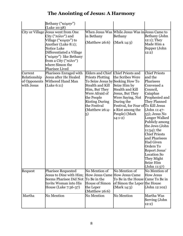|                                                       | Bethany ("κώμην")<br>(Luke 10:38)                                                                                                                                                                                                           |                                                                                                                                                                                                                                         |                                                                                                                                                                                                   |                                                                                                                                                                                                                                                                                                                                                                                          |
|-------------------------------------------------------|---------------------------------------------------------------------------------------------------------------------------------------------------------------------------------------------------------------------------------------------|-----------------------------------------------------------------------------------------------------------------------------------------------------------------------------------------------------------------------------------------|---------------------------------------------------------------------------------------------------------------------------------------------------------------------------------------------------|------------------------------------------------------------------------------------------------------------------------------------------------------------------------------------------------------------------------------------------------------------------------------------------------------------------------------------------------------------------------------------------|
|                                                       | City or Village Jesus went from One<br>City ("πόλιν") and<br>Village ("κώμην") to<br>Another (Luke 8:1);<br>Notice Luke<br>Differentiated a Village<br>("κώμην") like Bethany<br>from a City ("πόλιν")<br>where Simon the<br>Pharisee Lived | in Bethany<br>(Matthew $26:6$ )                                                                                                                                                                                                         | When Jesus Was While Jesus Was in Jesus Came to<br>Bethany<br>(Mark 14:3)                                                                                                                         | Bethany (John<br>$12:1$ ); They<br>Made Him a<br>Supper (John<br>12:2)                                                                                                                                                                                                                                                                                                                   |
| Current<br>Relationship<br>of Opponents<br>with Jesus | Pharisees Enraged with<br>Jesus after He Healed<br>Withered Hand Man<br>(Luke 6:11)                                                                                                                                                         | Elders and Chief Chief Priests and<br><b>Priests Plotting</b><br>To Seize Jesus by Seeking How To<br>Stealth and Kill<br>Him, But They<br>Were Afraid of<br>the People<br><b>Rioting During</b><br>the Festival<br>(Matthew 26:4-<br>5) | the Scribes Were<br>Seize Him by<br>Stealth and Kill<br>Jesus, But They<br>Were Saying, Not<br>During the<br>Festival, for Fear ofTo Kill Jesus<br>a Riot among the<br>People) (Mark<br>$14:1-2)$ | <b>Chief Priests</b><br>and the<br>Pharisees<br>Convened a<br>Council,<br>Caiaphas<br>Prophesied and<br>They Planned<br>(John 11:47-<br>53); Jesus No<br>Longer Walked<br>Publicly among<br>the Jews (John<br>$11:54$ ); the<br><b>Chief Priests</b><br>and Pharisees<br><b>Had Given</b><br>Orders To<br>Report Jesus'<br><b>Location So</b><br>They Might<br>Seize Him<br>(John 11:57) |
| Request                                               | <b>Pharisee Requested</b><br>Jesus to Dine with Him;  How Jesus Came  How Jesus Came<br>Seems Pharisee Did Not To Be in the<br>Invite Woman into His<br>House (Luke 7:36-37)                                                                | No Mention of<br><b>House of Simon</b><br>the Leper<br>(Matthew 26:6)                                                                                                                                                                   | No Mention of<br>To Be in the House Came To Be in<br>of Simon the Leper the House<br>(Mark $14:3$ )                                                                                               | No Mention of<br><b>How Jesus</b><br>(John 12:102)                                                                                                                                                                                                                                                                                                                                       |
| Martha                                                | No Mention                                                                                                                                                                                                                                  | <b>No Mention</b>                                                                                                                                                                                                                       | <b>No Mention</b>                                                                                                                                                                                 | Martha Was<br>Serving (John<br>12:2)                                                                                                                                                                                                                                                                                                                                                     |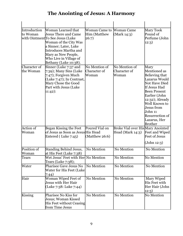| Introduction<br>to Woman  | Woman Learned that<br><b>Jesus There and Came</b><br>with OintmentTo See Jesus (Luke<br>Woman of the City Was<br>a Sinner; Later, Luke<br>Introduces Martha and<br>Mary as New People,<br>Who Live in Village of<br>Bethany (Luke 10:38). | <b>Woman Came to</b><br><b>Him (Matthew</b><br>26:7) | <b>Woman Came</b><br>(Mark 14:3)                         | Mary Took<br>Pound of<br>Perfume (John<br>12:3)                                                                                                                                                                                                                         |
|---------------------------|-------------------------------------------------------------------------------------------------------------------------------------------------------------------------------------------------------------------------------------------|------------------------------------------------------|----------------------------------------------------------|-------------------------------------------------------------------------------------------------------------------------------------------------------------------------------------------------------------------------------------------------------------------------|
| Character of<br>the Woman | Sinner (Luke 7:37 and<br>$7:39$ ); Many Sins (Luke<br>$7:47$ ; Forgiven Much<br>(Luke 7:47); In Contrast,<br>Mary Chose the Good<br>Part with Jesus (Luke<br>$11:42$ :                                                                    | No Mention of<br>Character of<br>Woman               | No Mention of<br>Character of<br>Woman                   | Mary<br>Mentioned as<br><b>Believing that</b><br>Lazarus Would<br><b>Not Have Died</b><br>If Jesus Had<br><b>Been Present</b><br>Earlier (John<br>12:32); Already<br>Well Known to<br>Jesus from<br>John 11<br><b>Resurrection of</b><br>Lazarus, Her<br><b>Brother</b> |
| <b>Action</b> of<br>Woman | Began Kissing the Feet<br>of Jesus as Soon as Jesus His Head<br>Entered (Luke 7:45)                                                                                                                                                       | Poured Vial on<br>(Matthew 26:6)                     | Broke Vial over His Mary Anointed<br>Head (Mark $14:3$ ) | Feet and Wiped<br><b>Feet of Jesus</b><br>(John 12:3)                                                                                                                                                                                                                   |
| Position of<br>Woman      | <b>Standing Behind Jesus,</b><br>at His Feet (Luke 7:38)                                                                                                                                                                                  | No Mention                                           | No Mention                                               | No Mention                                                                                                                                                                                                                                                              |
| Tears                     | Wet Jesus' Feet with Her No Mention<br>Tears (Luke 7:38);                                                                                                                                                                                 |                                                      | No Mention                                               | No Mention                                                                                                                                                                                                                                                              |
| Water                     | Pharisee Gave Jesus No<br>Water for His Feet (Luke<br>7:44)                                                                                                                                                                               | No Mention                                           | No Mention                                               | No Mention                                                                                                                                                                                                                                                              |
| Hair                      | Woman Wiped Feet of<br>Jesus with Her Hair<br>(Luke 7:38: Luke 7:44)                                                                                                                                                                      | No Mention                                           | No Mention                                               | Mary Wiped<br>His Feet with<br>Her Hair (John<br>12:3)                                                                                                                                                                                                                  |
| Kissing                   | Pharisee No Kiss for<br>Jesus; Woman Kissed<br><b>His Feet without Ceasing</b><br>from Time Jesus                                                                                                                                         | No Mention                                           | No Mention                                               | No Mention                                                                                                                                                                                                                                                              |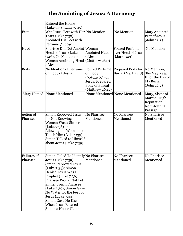|                                | <b>Entered the House</b><br>(Luke 7:38; Luke 7: 45)                                                                                                                                                                                                                                                                                                                               |                                                                                                            |                                                            |                                                                              |
|--------------------------------|-----------------------------------------------------------------------------------------------------------------------------------------------------------------------------------------------------------------------------------------------------------------------------------------------------------------------------------------------------------------------------------|------------------------------------------------------------------------------------------------------------|------------------------------------------------------------|------------------------------------------------------------------------------|
| Feet                           | Wet Jesus' Feet with Her  No Mention<br>Tears (Luke 7:38);<br>Anointed His Feet with<br>Perfume ("μύρω").                                                                                                                                                                                                                                                                         |                                                                                                            | No Mention                                                 | Mary Anointed<br><b>Feet of Jesus</b><br>(John 12:3)                         |
| Head                           | Pharisee Did Not Anoint Woman<br><b>Head of Jesus (Luke</b><br>$7:46$ ); No Mention of<br>Woman Anointing Head (Matthew 26:7)<br>of Jesus                                                                                                                                                                                                                                         | <b>Anointed Head</b><br>of Jesus                                                                           | <b>Poured Perfume</b><br>over Head of Jesus<br>(Mark 14:3) | No Mention                                                                   |
| <b>Body</b>                    | No Mention of Perfume<br>on Body of Jesus                                                                                                                                                                                                                                                                                                                                         | Poured Perfume<br>on Body<br>("σώματός") of<br>Jesus; Prepared<br><b>Body of Burual</b><br>(Matthew 26:12) | Prepared Body for<br>Burial (Mark 14:8)                    | No Mention;<br>She May Keep<br>It for the Day of<br>My Burial<br>(John 12:7) |
|                                | Mary Named   None Mentioned                                                                                                                                                                                                                                                                                                                                                       |                                                                                                            | None Mentioned None Mentioned                              | Mary, Sister of<br>Martha; High<br>Reputation<br>from John 11<br>Passage     |
| <b>Action of</b><br>Pharisee   | Simon Reproved Jesus<br>for Not Knowing<br>Woman Was a Sinner<br>(Luke $7:38$ ) and<br>Allowing the Woman to<br>Touch Him (Luke 7:39);<br>Simon Talked to Himself<br>about Jesus (Luke 7:39)                                                                                                                                                                                      | No Pharisee<br>Mentioned                                                                                   | No Pharisee<br>Mentioned                                   | No Pharisee<br>Mentioned                                                     |
| <b>Failures of</b><br>Pharisee | Simon Failed To Identify No Pharisee<br>Jesus (Luke 7:39);<br><b>Simon Reproved Jesus</b><br>(Luke 7:39); Simon<br>Denied Jesus Was a<br>Prophet (Luke 7:39);<br>Pharisee Would Not Let<br><b>Sinner Touch Pharisee</b><br>(Luke 7:39); Simon Gave<br>No Water for the Feet of<br>Jesus (Luke $7:44$ );<br><b>Simon Gave No Kiss</b><br>When Jesus Entered<br>Simon's House (Luke | Mentioned                                                                                                  | No Pharisee<br>Mentioned                                   | No Pharisee<br>Mentioned                                                     |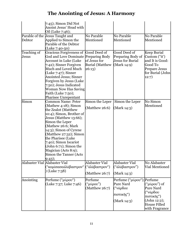| Debtor                        | 7:45); Simon Did Not<br>Anoint Jesus' Head with<br>Oil (Luke 7:46);<br>Parable of the Jesus Taught and<br>Applied to Simon the<br>Parable of the Debtor                                                                                                                                                                                                            | No Parable<br>Mentioned                              | No Parable<br>Mentioned                                                         | No Parable<br>Mentioned                                                                                                 |
|-------------------------------|--------------------------------------------------------------------------------------------------------------------------------------------------------------------------------------------------------------------------------------------------------------------------------------------------------------------------------------------------------------------|------------------------------------------------------|---------------------------------------------------------------------------------|-------------------------------------------------------------------------------------------------------------------------|
| Teaching of<br>Jesus          | (Luke 7:40-50)<br>Gracious Forgiveness of Good Deed of<br>God and Love Dominate Preparing Body<br><b>Account in Luke (Luke</b><br>7:42); Sinner Forgiven<br>Much and Loved Much<br>$(Luke 7:47)$ ; Sinner<br>Anointed Jesus; Sinner<br>Forgiven by Jesus (Luke<br>7:50); Jesus Indicated<br>Woman Now Has Saving<br>Faith (Luke 7:50);<br>Pharisee Unrepentant     | of Jesus for<br><b>Burial (Matthew</b><br>26:13)     | Good Deed of<br>Preparing Body of<br><b>Jesus for Burial</b><br>(Mark 14:9)     | Keep Burial<br>Custom ("it')<br>and It is Good:<br>Good To<br>Prepare Jesus<br>for Burial (John<br>12:7)                |
| Simon                         | <b>Common Name: Peter</b><br>(Mathew 4:18); Simon<br>the Zealot (Matthew<br>10:4); Simon, Brother of<br>Jesus (Matthew 13:66);<br>Simon the Leper<br>(Mathew 26:6; Mark<br>$14:3$ ; Simon of Cyrene<br>(Matthew 27:32); Simon<br>the Pharisee (Luke<br>7:40); Simon Iscariot<br>(John 6:71); Simon the<br>Magician (Acts 8:9);<br>Simon the Tanner (Acts<br>9:43); | Simon the Leper<br>(Matthew $26:6$ )                 | Simon the Leper<br>(Mark 14:3)                                                  | No Simon<br>Mentioned                                                                                                   |
| Alabaster Vial Alabaster Vial | ("κομίσασαἀλάβαστρον"<br>(Luke 7:38)                                                                                                                                                                                                                                                                                                                               | Alabaster Vial<br>("ἀλάβαστρον")<br>$(Mat$ hew 26:7) | Alabaster Vial<br>("ἀλάβαστρον")<br>(Mark 14:3)                                 | No Alabaster<br><b>Vial Mentioned</b>                                                                                   |
| Anointing                     | Perfume ("μύρου")<br>(Luke 7:37; Luke 7:46)                                                                                                                                                                                                                                                                                                                        | Perfume<br>("μύρου")<br>$(Mat$ hew 26:7)             | Perfume ("μύρου");<br><b>Pure Nard</b><br>("νάρδου<br>πιστικῆς")<br>(Mark 14:3) | Perfume<br>("μύρου") of<br>Pure Nard<br>("νάρδου<br>πιστικῆς")<br>(John 12:2);<br><b>House Filled</b><br>with Fragrance |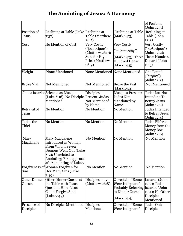|                                      |                                                                                                                                                                                        |                                                                                                    |                                                                                                            | of Perfume<br>(John 12:3)                                                                           |
|--------------------------------------|----------------------------------------------------------------------------------------------------------------------------------------------------------------------------------------|----------------------------------------------------------------------------------------------------|------------------------------------------------------------------------------------------------------------|-----------------------------------------------------------------------------------------------------|
| Position of<br>Jesus                 | Reclining at Table (Luke Reclining at<br>7:37)                                                                                                                                         | <b>Table (Matthew</b><br>26:7)                                                                     | <b>Reclining at Table</b><br>(Mark 14:3)                                                                   | Reclining at<br>Table (John<br>12:2)                                                                |
| Cost                                 | No Mention of Cost                                                                                                                                                                     | Very Costly<br>("βαρυτίμου")<br>(Matthew 26:7);<br>Sold for High<br><b>Price (Matthew</b><br>26:9) | Very Costly<br>("πολυτελοῦς")<br>(Mark 14:3); Three<br>Hundred Denarii<br>(Mark $14:5$ )                   | Very Costly<br>("πολυτίμου")<br>(John 12:2);<br>Three Hundred<br>Denarii (John<br>12:5)             |
| Weight                               | None Mentioned                                                                                                                                                                         | None Mentioned None Mentioned                                                                      |                                                                                                            | One Pound<br>("λίτραν")<br>(John 12:3)                                                              |
| <b>Broke Vial</b>                    | Not Mentioned                                                                                                                                                                          | Not Mentioned                                                                                      | <b>Broke the Vial</b><br>(Mark 14:3)                                                                       | Not Mentioned                                                                                       |
|                                      | Judas Iscariot Selected as Disciple<br>(Luke 6:16); No Disciple Present; Judas<br>Mentioned                                                                                            | <b>Disciples</b><br><b>Not Mentioned</b><br>by Name                                                | Disciples Present;<br>Judas Not<br>Mentioned by<br>Name                                                    | Judas Iscariot<br><b>Intending To</b><br><b>Betray Jesus</b><br>(John 12:4)                         |
| Betrayal of<br>Jesus                 | No Mention                                                                                                                                                                             | No Mention                                                                                         | No Mention                                                                                                 | Judas Intended<br>to Betray Jesus<br>(John 12:4)                                                    |
| Judas the<br>Thief                   | <b>No Mention</b>                                                                                                                                                                      | No Mention                                                                                         | <b>No Mention</b>                                                                                          | Judas Pilfered<br>Money from the<br><b>Money Box</b><br>(John 12:6)                                 |
| Mary<br>Magdalene                    | Mary Magdalene<br><b>Introduced as Woman</b><br><b>From Whom Seven</b><br>Demons Went Out (Luke<br>8:2); Unrelated to<br><b>Anointing</b> ; First appears<br>after anointing of Luke 7 | No Mention                                                                                         | <b>No Mention</b>                                                                                          | No Mention                                                                                          |
| Sins                                 | Forgiveness of Woman Forgiven for<br>Her Many Sins (Luke<br>7:49)                                                                                                                      | No Mention                                                                                         | <b>No Mention</b>                                                                                          | No Mention                                                                                          |
| <b>Other Dinner</b><br><b>Guests</b> | Other Dinner Guests at<br>the Table with Jesus<br><b>Question How Jesus</b><br><b>Could Forgive Sins</b><br>(Luke 7:49)                                                                | Disciples only<br>$(Mat$ thew 26:8)                                                                | <b>Uncertain: "Some</b><br>Were Indignant"<br><b>Probably Referring</b><br>to Dinner Guests<br>(Mark 14:4) | Lazarus (John<br>12:2); Judas<br>Iscariot (John<br>12:4); No Other<br><b>Disciples</b><br>Mentioned |
| Presence of<br><b>Disciples</b>      | No Disciples Mentioned                                                                                                                                                                 | <b>Disciples</b><br>Mentioned                                                                      | Uncertain: "Some<br>Were Indignant"                                                                        | Judas Only<br>Disciple                                                                              |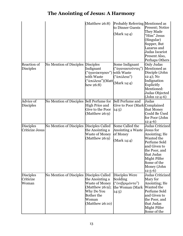|                                        |                                          | (Matthew $26:8$ )                                                                                                      | Probably Referring Mentioned as<br>to Dinner Guests<br>(Mark 14:4)              | <b>Present</b> ; Notice<br>They Made<br>"Him" Jesus<br>(Singular)<br>Supper, But<br>Lazarus and<br>Judas Iscariot<br>Present Also,<br>Perhaps Others                                   |
|----------------------------------------|------------------------------------------|------------------------------------------------------------------------------------------------------------------------|---------------------------------------------------------------------------------|----------------------------------------------------------------------------------------------------------------------------------------------------------------------------------------|
| <b>Reaction of</b><br><b>Disciples</b> | No Mention of Disciples                  | <b>Disciples</b><br>Indignant<br>("ἠγανάκτησαν")<br>with Waste<br>("ἀπώλεια")(Matt<br>hew 26:8)                        | Some Indignant<br>("ἀγανακτοῦντες")<br>with Waste<br>("ἀπώλεια")<br>(Mark 14:4) | Only Judas<br>Mentioned as<br>Disciple (John<br>$12:4$ ); No<br>Indignation<br>Explicitly<br>Mentioned:<br>Judas Objected<br>(John 12:4-6)                                             |
| Advice of<br><b>Disciples</b>          | No Mention of Disciples Sell Perfume for | High Price and<br>Give to the Poor<br>(Matthew 26:9)                                                                   | Sell Perfume and<br>Give to Poor (Mark Complained<br>14:5)                      | Judas<br>that Money<br><b>Could Be Used</b><br>for Poor (John<br>$12:4-6)$                                                                                                             |
| <b>Disciples</b><br>Criticize Jesus    | No Mention of Disciples                  | Disciples Called<br>the Anointing a<br>Waste of Money<br>(Matthew 26:9)                                                | Some Called the<br>Anointing a Waste<br>of Money<br>(Mark 14:4)                 | Judas Criticized<br>Jesus for<br>Anointing; He<br>Wanted the<br>Perfume Sold<br>and Given to<br>the Poor, and<br>that Judas<br>Might Pilfer<br>Some of the<br>Money (John<br>$12:5-6)$ |
| <b>Disciples</b><br>Criticize<br>Woman | No Mention of Disciples Disciples Called | the Anointing a<br>Waste of Money<br>(Matthew 26:9);<br>Why Do You<br><b>Bother the</b><br>Woman<br>$(Mat$ thew 26:10) | Disciples Were<br>Scolding<br>("ενεβριμῶντο")<br>the Woman (Mark<br>14:5)       | Judas Criticized<br>Mary for<br>Anointing; He<br>Wanted the<br>Perfume Sold<br>and Given to<br>the Poor, and<br>that Judas<br><b>Might Pilfer</b><br>Some of the                       |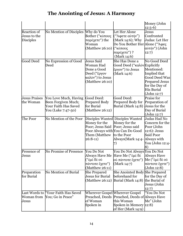|                                                        |                                                                                            |                                                                                                        |                                                                                                                                                 | Money (John<br>$12:5-6)$                                                                                                                          |
|--------------------------------------------------------|--------------------------------------------------------------------------------------------|--------------------------------------------------------------------------------------------------------|-------------------------------------------------------------------------------------------------------------------------------------------------|---------------------------------------------------------------------------------------------------------------------------------------------------|
| <b>Reaction of</b><br>Jesus to the<br><b>Disciples</b> | No Mention of Disciples                                                                    | Why do You<br>Bother ("κόπους<br>παρέχετε") the<br>Woman<br>(Matthew 26:10) ("κόπους                   | Let Her Alone<br>("Άφετε αύτήν")<br>(Mark $14:6$ ); Why<br>Do You Bother Her Alone ("Άφες<br>παρέχετε") ?<br>(Mark 14:6)                        | Jesus<br>Confronted<br>Judas: Let Her<br>αὐτήν") (John<br>12:7)                                                                                   |
| <b>Good Deed</b>                                       | No Expression of Good<br>Deed                                                              | <b>Jesus Said</b><br>Woman Had<br>Done a Good<br>Deed ("ἔργον<br>καλòv") to Jesus<br>$(Mat$ hew 26:10) | She Has Done a<br>Good Deed ("καλὸν Explicitly<br>ἔργον") to Jesus<br>(Mark 14:6)                                                               | No Good Deed<br>Mentioned:<br>Implied that<br><b>Good Deed Was</b><br><b>Prepared Jesus</b><br>for the Day of<br><b>His Burial</b><br>(John 12:7) |
| <b>Jesus Praises</b><br>the Woman                      | You Love Much, Having<br>Been Forgiven Much;<br>Your Faith Has Saved<br>You (Luke 7:47-50) | Good Deed:<br><b>Prepared Body</b><br>for Burial<br>(Matthew $26:12$ )                                 | Good Deed:<br>Prepared Body for<br>Burial (Mark 14:8)                                                                                           | Praise for<br>Preparation of<br>Jesus for the<br>Day of Burial<br>(John 12:7)                                                                     |
| The Poor                                               | No Mention of the Poor                                                                     | Money for the<br>Poor; Jesus Said Poor; Jesus said<br>Them (Matthew<br>$26:8-11)$                      | Disciples Wanted Disciples Wanted<br>Money for the<br>Poor Always with You Can Do Good<br>to the Poor<br>Always(Mark 14:4- Always with          | Judas Had No<br>Concern for the<br>Poor (John<br>12:6): Jesus<br><b>Said Poor</b><br>You (John 12:4-<br>8)                                        |
| Presence of<br>Jesus                                   | No Promise of Presence                                                                     | You Do Not<br>("ἐμὲ δὲ οὐ<br>πάντοτε ἔχετε")<br>$(Mat$ thew 26:11)                                     | You Do Not Always You Do Not<br>Always Have Me Have Me ("έμε δε<br>ού πάντοτε ἔχετε")<br>(Mark 14:7)                                            | <b>Always Have</b><br>Με ("έμὲ δὲ οὐ<br>πάντοτε ἔχετε")<br>(John 12:8)                                                                            |
| Preparation<br>for Burial                              | <b>No Mention of Burial</b>                                                                | <b>She Prepared</b><br><b>Jesus for Burial</b>                                                         | She Anointed Body She Prepared<br>beforehand for<br>(Matthew 26:12) Burial (Mark 14:8)                                                          | for the Day of<br>the Burial of<br>Jesus (John<br>12:7)                                                                                           |
| Jesus                                                  | Last Words to "Your Faith Has Saved<br>Woman from You; Go in Peace"                        | of Woman<br>Spoken in                                                                                  | Wherever Gospel Wherever Gospel<br>Preached, Deeds Preached, Deeds of Always Have<br>this Woman<br>Spoken in Memory 12:8)<br>of Her (Mark 14:9) | "You Do Not<br>Me" (John                                                                                                                          |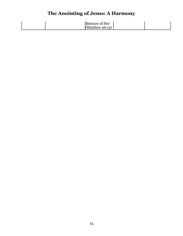| Memory of Her      |  |
|--------------------|--|
| (Matthew $26:13$ ) |  |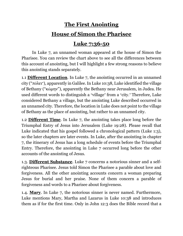# **The First Anointing**

### **House of Simon the Pharisee**

#### **Luke 7:36-50**

<span id="page-15-0"></span>In Luke 7, an unnamed woman appeared at the house of Simon the Pharisee. You can review the chart above to see all the differences between this account of anointing, but I will highlight a few strong reasons to believe this anointing stands separately.

1.1 **Different Location**. In Luke 7, the anointing occurred in an unnamed city ("πόλει"), apparently in Galilee. In Luke 10:38, Luke identified the village of Bethany ("κώμην"), apparently the Bethany near Jerusalem, in Judea. He used different words to distinguish a "village" from a "city." Therefore, Luke considered Bethany a village, but the anointing Luke described occurred in an unnamed city. Therefore, the location in Luke does not point to the village of Bethany as the place of anointing, but rather to an unnamed city.

1.2 **Different Time**. In Luke 7, the anointing takes place long before the Triumphal Entry of Jesus into Jerusalem (Luke 19:28). Please recall that Luke indicated that his gospel followed a chronological pattern (Luke 1:3), so the later chapters are later events. In Luke, after the anointing in chapter 7, the itinerary of Jesus has a long schedule of events before the Triumphal Entry. Therefore, the anointing in Luke 7 occurred long before the other accounts of the anointing of Jesus.

1.3. **Different Substance**. Luke 7 concerns a notorious sinner and a selfrighteous Pharisee. Jesus told Simon the Pharisee a parable about love and forgiveness. All the other anointing accounts concern a woman preparing Jesus for burial and her praise. None of them concern a parable of forgiveness and words to a Pharisee about forgiveness.

1.4. **Mary**. In Luke 7, the notorious sinner is never named. Furthermore, Luke mentions Mary, Martha and Lazarus in Luke 10:38 and introduces them as if for the first time. Only in John 12:3 does the Bible record that a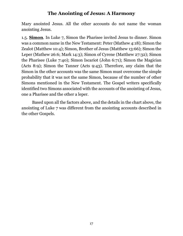Mary anointed Jesus. All the other accounts do not name the woman anointing Jesus.

1.5. **Simon**. In Luke 7, Simon the Pharisee invited Jesus to dinner. Simon was a common name in the New Testament: Peter (Mathew 4:18); Simon the Zealot (Matthew 10:4); Simon, Brother of Jesus (Matthew 13:66); Simon the Leper (Mathew 26:6; Mark 14:3); Simon of Cyrene (Matthew 27:32); Simon the Pharisee (Luke 7:40); Simon Iscariot (John 6:71); Simon the Magician (Acts 8:9); Simon the Tanner (Acts 9:43). Therefore, any claim that the Simon in the other accounts was the same Simon must overcome the simple probability that it was not the same Simon, because of the number of other Simons mentioned in the New Testament. The Gospel writers specifically identified two Simons associated with the accounts of the anointing of Jesus, one a Pharisee and the other a leper.

Based upon all the factors above, and the details in the chart above, the anointing of Luke 7 was different from the anointing accounts described in the other Gospels.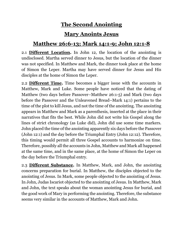# **The Second Anointing**

#### **Mary Anoints Jesus**

#### <span id="page-17-0"></span>**Matthew 26:6-13; Mark 14:1-9; John 12:1-8**

2.1 **Different Location.** In John 12, the location of the anointing is undisclosed. Martha served dinner to Jesus, but the location of the dinner was not specified. In Matthew and Mark, the dinner took place at the home of Simon the Leper. Martha may have served dinner for Jesus and His disciples at the home of Simon the Leper.

2.2 **Different Time.** Time becomes a bigger issue with the accounts in Matthew, Mark and Luke. Some people have noticed that the dating of Matthew (two days before Passover–Matthew 26:1-5) and Mark (two days before the Passover and the Unleavened Bread–Mark 14:1) pertains to the time of the plot to kill Jesus, and not the time of the anointing. The anointing appears in Matthew and Mark as a parenthesis, inserted at the place in their narratives that fits the best. While John did not write his Gospel along the lines of strict chronology (as Luke did), John did use some time markers. John placed the time of the anointing apparently six days before the Passover (John 12:1) and the day before the Triumphal Entry (John 12:12). Therefore, this timing would permit all three Gospel accounts to harmonize on time. Therefore, possibly all the accounts in John, Matthew and Mark all happened at the same time, and in the same place, at the home of Simon the Leper on the day before the Triumphal entry.

2.3 **Different Substance.** In Matthew, Mark, and John, the anointing concerns preparation for burial. In Matthew, the disciples objected to the anointing of Jesus. In Mark, some people objected to the anointing of Jesus. In John, Judas Iscariot objected to the anointing of Jesus. In Matthew, Mark and John, the text speaks about the woman anointing Jesus for burial, and the good work of Mary in performing the anointing. Therefore, the substance seems very similar in the accounts of Matthew, Mark and John.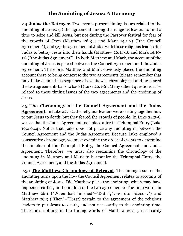2.4 **Judas the Betrayer**. Two events present timing issues related to the anointing of Jesus: (1) the agreement among the religious leaders to find a time to seize and kill Jesus, but not during the Passover festival for fear of the crowds of Jews (Matthew 26:3-4 and Mark 14:1-2) ("the Council Agreement"); and (2) the agreement of Judas with those religious leaders for Judas to betray Jesus into their hands (Matthew 26:14-16 and Mark 14:10- 11) ("the Judas Agreement"). In both Matthew and Mark, the account of the anointing of Jesus is placed between the Council Agreement and the Judas Agreement. Therefore, Matthew and Mark obviously placed the anointing account there to bring context to the two agreements (please remember that only Luke claimed his sequence of events was chronological and he placed the two agreements back to back) (Luke 22:1-6). Many salient questions arise related to these timing issues of the two agreements and the anointing of Jesus.

2.5 **The Chronology of the Council Agreement and the Judas Agreement**. In Luke 22:1-2, the religious leaders were seeking together how to put Jesus to death, but they feared the crowds of people. In Luke 22:3-6, we see that the Judas Agreement took place after the Triumphal Entry (Luke 19:28-44). Notice that Luke does not place any anointing in between the Council Agreement and the Judas Agreement. Because Luke employed a consecutive chronology, we must examine the order of events to determine the timeline of the Triumphal Entry, the Council Agreement and Judas Agreement. Therefore, we must also reexamine the chronology of the anointing in Matthew and Mark to harmonize the Triumphal Entry, the Council Agreement, and the Judas Agreement.

2.5.1 **The Matthew Chronology of Betrayal**. The timing issue of the anointing turns upon the how the Council Agreement relates to accounts of the anointing of Jesus. Did Matthew place the anointing, which may have happened earlier, in the middle of the two agreements? The time words in Matthew 26:1 ("When had finished"–"Καὶ ἐγένετο ὅτε ἐτέλεσεν") and Matthew 26:3 ("Then"–"Τότε") pertain to the agreement of the religious leaders to put Jesus to death, and not necessarily to the anointing time. Therefore, nothing in the timing words of Matthew 26:1-3 necessarily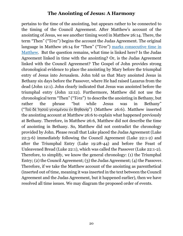pertains to the time of the anointing, but appears rather to be connected to the timing of the Council Agreement. After Matthew's account of the anointing of Jesus, we see another timing word in Matthew 26:14. There, the term "Then" ("Τότε") begins the account the Judas Agreement. The original language in Matthew 26:14 for "Then" ("Τότε") [marks consecutive time in](https://christassembly.org/key-to-prophecy%e2%94%82matthew-24-%e2%94%82-christ-assembly-%e2%94%82eschatology-%e2%94%82-tote-tauta-and-mathete-analytics/)  [Matthew.](https://christassembly.org/key-to-prophecy%e2%94%82matthew-24-%e2%94%82-christ-assembly-%e2%94%82eschatology-%e2%94%82-tote-tauta-and-mathete-analytics/) But the question remains, what time is linked here? Is the Judas Agreement linked in time with the anointing? Or, is the Judas Agreement linked with the Council Agreement? The Gospel of John provides strong chronological evidence to place the anointing by Mary before the triumphal entry of Jesus into Jerusalem. John told us that Mary anointed Jesus in Bethany six days before the Passover, where He had raised Lazarus from the dead (John 12:1). John clearly indicated that Jesus was anointed before the triumphal entry (John 12:12). Furthermore, Matthew did not use the chronological term "Then" ("Τότε") to describe the anointing in Bethany, but rather the phrase "but while Jesus was in Bethany" ("Τοῦ δὲ Ἰησοῦ γενομένου ἐν Βηθανίᾳ") (Matthew 26:6). Matthew inserted the anointing account at Matthew 26:6 to explain what happened previously at Bethany. Therefore, in Matthew 26:6, Matthew did not describe the time of anointing in Bethany. So, Matthew did not contradict the chronology provided by John. Please recall that Luke placed the Judas Agreement (Luke 22:3-6) immediately following the Council Agreement (Luke 22:1-2) and after the Triumphal Entry (Luke 19:28-44) and before the Feast of Unleavened Bread (Luke 22:1), which was called the Passover (Luke 22:1-2). Therefore, to simplify, we know the general chronology: (1) the Triumphal Entry; (2) the Council Agreement; (3) the Judas Agreement; (4) the Passover. Therefore, if we take the Matthew account of the anointing as parenthetical (inserted out of time, meaning it was inserted in the text between the Council Agreement and the Judas Agreement, but it happened earlier), then we have resolved all time issues. We may diagram the proposed order of events.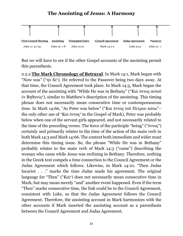

But we will have to see if the other Gospel accounts of the anointing permit this parenthesis.

2.5.2 **The Mark Chronology of Betrayal**. In Mark 14:1, Mark began with "Now was" ("ην δὲ"). He referred to the Passover being two days away. At that time, the Council Agreement took place. In Mark 14:3, Mark began the account of the anointing with "While He was in Bethany" ("Καὶ ὄντος αὐτοῦ ἐν Βηθανίᾳ"), similar to Matthew's description of the anointing. This timing phrase does not necessarily mean consecutive time or contemporaneous time. In Mark 14:66, "As Peter was below" ("Καὶ ὄντος τοῦ Πέτρου κάτω"– the only other use of "Καὶ ὄντος" in the Gospel of Mark), Peter was probably below when one of the servant girls appeared, and not necessarily related to the time of the preceding verses. The force of the participle "being" ("ὄντος") certainly and primarily relates to the time of the action of the main verb in both Mark 14:3 and Mark 14:66. The context both immediate and wider must determine this timing issue. So, the phrase "While He was in Bethany" probably relates to the main verb of Mark 14:3 ("came") describing the woman who came while Jesus was reclining in Bethany. Therefore, nothing in the Greek text compels a time connection to the Council Agreement or the Judas Agreement which follows. Likewise, in Mark 14:10, "Then Judas Iscariot . . ." marks the time Judas made his agreement. The original language for "Then" ("Καὶ") does not necessarily mean consecutive time in Mark, but may mean merely "and" another event happened. Even if the term "Then" marks consecutive time, the link could be to the Council Agreement, consistent with Luke, so that the Judas Agreement follows the Council Agreement. Therefore, the anointing account in Mark harmonizes with the other accounts if Mark inserted the anointing account as a parenthesis between the Council Agreement and Judas Agreement.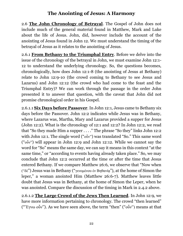2.6 **The John Chronology of Betrayal**. The Gospel of John does not include much of the general material found in Matthew, Mark and Luke about the life of Jesus. John, did, however include the account of the anointing of Jesus found in John 12. We must understand the timing of the betrayal of Jesus as it relates to the anointing of Jesus.

2.6.1 **From Bethany to the Triumphal Entry**. Before we delve into the issue of the chronology of the betrayal in John, we must examine John 12:1- 12 to understand the underlying chronology. So, the questions becomes, chronologically, how does John 12:1-8 (the anointing of Jesus at Bethany) relate to John 12:9-10 (the crowd coming to Bethany to see Jesus and Lazarus) and John 12:12 (the crowd who had come to the feast and the Triumphal Entry)? We can work through the passage in the order John presented it to answer that question, with the caveat that John did not promise chronological order in his Gospel.

2.6.1.1 **Six Days before Passover**. In John 12:1, Jesus came to Bethany six days before the Passover. John 12:2 indicates while Jesus was in Bethany, where Lazarus was, Martha, Mary and Lazarus provided a supper for Jesus (John 12:2). What is the chronology of 12:1 and 12:2? In John 12:2, we read that "So they made Him a supper . . . ." The phrase "So they" links John 12:2 with John 12:1. The single word ("οὖν") was translated "So." This same word ("οὖν") will appear in John 12:9 and John 12:12. While we cannot say the word for "So" means the same day, we can say it means in this context "at the same time," or "according to events having already taken place." So, we may conclude that John 12:2 occurred at the time or after the time that Jesus entered Bethany. If we compare Matthew 26:6, we observe that "Now when ("δὲ") Jesus was in Bethany ("γενομένου ἐν Βηθανίᾳ"), at the home of Simon the leper," a woman anointed Him (Matthew 26:6-7). Matthew leaves little doubt that Jesus was in Bethany, at the home of Simon the Leper, when he was anointed. Compare the discussion of the timing in Mark in 2.4.2 above.

2.6.1.2 **The Large Crowd of the Jews Then Learned**. In John 12:9, we have more information pertaining to chronology. The crowd "then learned" ("Ἔγνω οὖν''). As we have seen above, the term "then" ("οὖν") means at that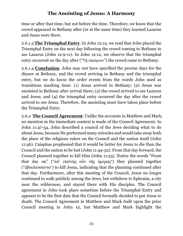time or after that time, but not before the time. Therefore, we know that the crowd appeared in Bethany after (or at the same time) they learned Lazarus and Jesus were there.

2.6.1.3 **The Triumphal Entry**. In John 12:12, we read that John placed the Triumphal Entry on the next day following the crowd coming to Bethany to see Lazarus (John 12:9-11). In John 12:12, we observe that the triumphal entry occurred on the day after ("Τῇ ἐπαύριον") the crowd came to Bethany.

2.6.1.4 **Conclusion**. John may not have specified the precise days for the dinner at Bethany, and the crowd arriving in Bethany and the triumphal entry, but we do know the order events from the words John used as transitions marking time: (1) Jesus arrived in Bethany; (2) Jesus was anointed in Bethany after arrival there; (2) the crowd arrived to see Lazarus and Jesus; and (4) the triumphal entry occurred the day after the crowd arrived to see Jesus. Therefore, the anointing must have taken place before the Triumphal Entry.

2.6.2 **The Council Agreement**. Unlike the accounts in Matthew and Mark, no mention in the immediate context is made of the Council Agreement. In John 11:47-54, John described a council of the Jews deciding what to do about Jesus, because He performed many miracles and would take away both the place of the religious rulers on the Council and the nation itself (John 11:46). Caiaphas prophesied that it would be better for Jesus to die than the Council and the nation to be lost (John 11:49-52). From that day forward, the Council planned together to kill Him (John 11:53). Notice the words "From that day on" ("ἀπ' ἐκείνης οὖν τῆς ἡμέρας") they planned together ("ἐβουλεύσαντο") to kill Jesus, indicating that the planning continued after that day. Furthermore, after this meeting of the Council, Jesus no longer continued to walk publicly among the Jews, but withdrew to Ephraim, a city near the wilderness, and stayed there with His disciples. The Council agreement in John took place sometime before the Triumphal Entry and appears to be the first date that the Council formally decided to put Jesus to death. The Council Agreement in Matthew and Mark built upon the prior Council meeting in John 12, but Matthew and Mark highlight the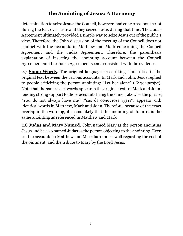determination to seize Jesus; the Council, however, had concerns about a riot during the Passover festival if they seized Jesus during that time. The Judas Agreement ultimately provided a simple way to seize Jesus out of the public's view. Therefore, the John discussion of the meeting of the Council does not conflict with the accounts in Matthew and Mark concerning the Council Agreement and the Judas Agreement. Therefore, the parenthesis explanation of inserting the anointing account between the Council Agreement and the Judas Agreement seems consistent with the evidence.

2.7 **Same Words**. The original language has striking similarities in the original text between the various accounts. In Mark and John, Jesus replied to people criticizing the person anointing: "Let her alone" ("Ἄφεςαὐτήν"). Note that the same exact words appear in the original texts of Mark and John, lending strong support to those accounts being the same. Likewise the phrase, "You do not always have me" ("ἐμὲ δὲ οὐπάντοτε ἔχετε") appears with identical words in Matthew, Mark and John. Therefore, because of the exact overlap in the wording, it seems likely that the anointing of John 12 is the same anointing as referenced in Matthew and Mark.

2.8 **Judas and Mary Named.** John named Mary as the person anointing Jesus and he also named Judas as the person objecting to the anointing. Even so, the accounts in Matthew and Mark harmonize well regarding the cost of the ointment, and the tribute to Mary by the Lord Jesus.